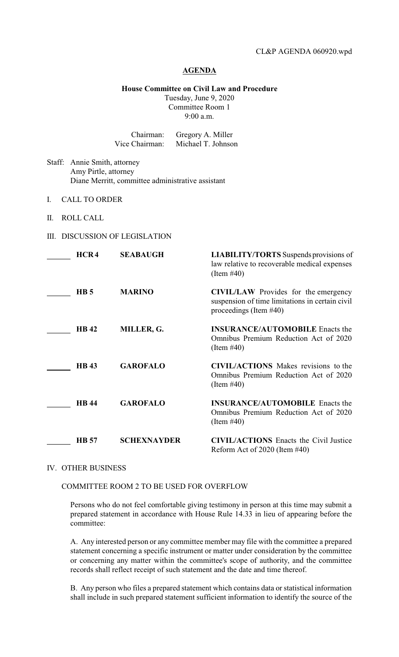## **AGENDA**

#### **House Committee on Civil Law and Procedure**

Tuesday, June 9, 2020 Committee Room 1 9:00 a.m.

| Chairman:      | Gregory A. Miller  |
|----------------|--------------------|
| Vice Chairman: | Michael T. Johnson |

- Staff: Annie Smith, attorney Amy Pirtle, attorney Diane Merritt, committee administrative assistant
- I. CALL TO ORDER
- II. ROLL CALL
- III. DISCUSSION OF LEGISLATION

| HCR4            | <b>SEABAUGH</b>    | <b>LIABILITY/TORTS</b> Suspends provisions of<br>law relative to recoverable medical expenses<br>$($ Item #40 $)$           |
|-----------------|--------------------|-----------------------------------------------------------------------------------------------------------------------------|
| HB <sub>5</sub> | <b>MARINO</b>      | <b>CIVIL/LAW</b> Provides for the emergency<br>suspension of time limitations in certain civil<br>proceedings (Item $#40$ ) |
| <b>HB</b> 42    | MILLER, G.         | <b>INSURANCE/AUTOMOBILE</b> Enacts the<br>Omnibus Premium Reduction Act of 2020<br>$($ Item #40 $)$                         |
| <b>HB43</b>     | <b>GAROFALO</b>    | <b>CIVIL/ACTIONS</b> Makes revisions to the<br>Omnibus Premium Reduction Act of 2020<br>$($ Item #40 $)$                    |
| <b>HB44</b>     | <b>GAROFALO</b>    | <b>INSURANCE/AUTOMOBILE</b> Enacts the<br>Omnibus Premium Reduction Act of 2020<br>(Item #40)                               |
| <b>HB</b> 57    | <b>SCHEXNAYDER</b> | <b>CIVIL/ACTIONS</b> Enacts the Civil Justice<br>Reform Act of 2020 (Item $\#40$ )                                          |

#### IV. OTHER BUSINESS

COMMITTEE ROOM 2 TO BE USED FOR OVERFLOW

Persons who do not feel comfortable giving testimony in person at this time may submit a prepared statement in accordance with House Rule 14.33 in lieu of appearing before the committee:

A. Any interested person or any committee member may file with the committee a prepared statement concerning a specific instrument or matter under consideration by the committee or concerning any matter within the committee's scope of authority, and the committee records shall reflect receipt of such statement and the date and time thereof.

B. Any person who files a prepared statement which contains data or statistical information shall include in such prepared statement sufficient information to identify the source of the